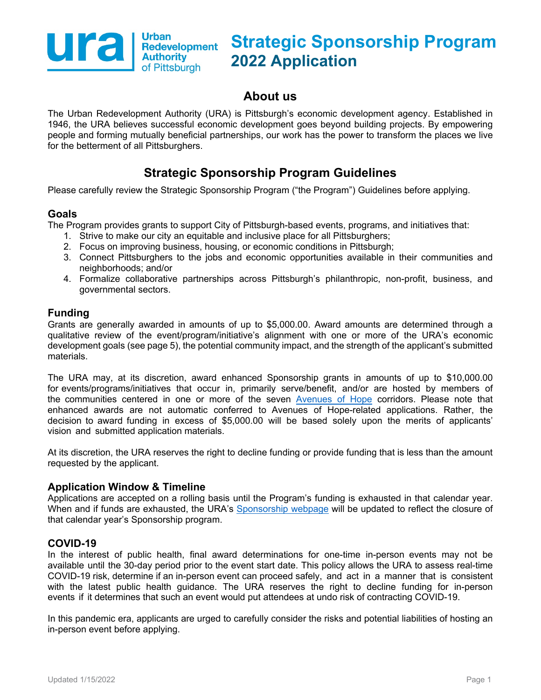

# **About us**

The Urban Redevelopment Authority (URA) is Pittsburgh's economic development agency. Established in 1946, the URA believes successful economic development goes beyond building projects. By empowering people and forming mutually beneficial partnerships, our work has the power to transform the places we live for the betterment of all Pittsburghers.

# **Strategic Sponsorship Program Guidelines**

Please carefully review the Strategic Sponsorship Program ("the Program") Guidelines before applying.

### **Goals**

The Program provides grants to support City of Pittsburgh-based events, programs, and initiatives that:

- 1. Strive to make our city an equitable and inclusive place for all Pittsburghers;
- 2. Focus on improving business, housing, or economic conditions in Pittsburgh;
- 3. Connect Pittsburghers to the jobs and economic opportunities available in their communities and neighborhoods; and/or
- 4. Formalize collaborative partnerships across Pittsburgh's philanthropic, non-profit, business, and governmental sectors.

# **Funding**

Grants are generally awarded in amounts of up to \$5,000.00. Award amounts are determined through a qualitative review of the event/program/initiative's alignment with one or more of the URA's economic development goals (see page 5), the potential community impact, and the strength of the applicant's submitted materials.

The URA may, at its discretion, award enhanced Sponsorship grants in amounts of up to \$10,000.00 for events/programs/initiatives that occur in, primarily serve/benefit, and/or are hosted by members of the communities centered in one or more of the seven [Avenues of Hope](https://www.ura.org/pages/avenues-of-hope) corridors. Please note that enhanced awards are not automatic conferred to Avenues of Hope-related applications. Rather, the decision to award funding in excess of \$5,000.00 will be based solely upon the merits of applicants' vision and submitted application materials.

At its discretion, the URA reserves the right to decline funding or provide funding that is less than the amount requested by the applicant.

#### **Application Window & Timeline**

Applications are accepted on a rolling basis until the Program's funding is exhausted in that calendar year. When and if funds are exhausted, the URA's [Sponsorship](https://www.ura.org/pages/sponsorships) webpage will be updated to reflect the closure of that calendar year's Sponsorship program.

#### **COVID-19**

In the interest of public health, final award determinations for one-time in-person events may not be available until the 30-day period prior to the event start date. This policy allows the URA to assess real-time COVID-19 risk, determine if an in-person event can proceed safely, and act in a manner that is consistent with the latest public health guidance. The URA reserves the right to decline funding for in-person events if it determines that such an event would put attendees at undo risk of contracting COVID-19.

In this pandemic era, applicants are urged to carefully consider the risks and potential liabilities of hosting an in-person event before applying.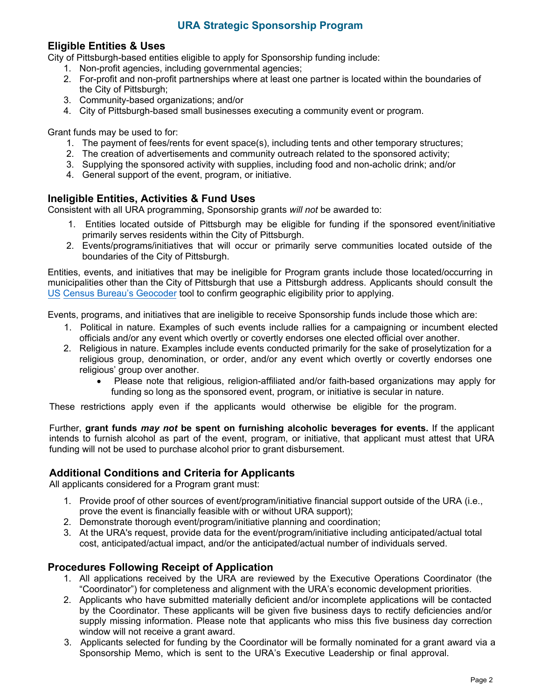#### **Eligible Entities & Uses**

City of Pittsburgh-based entities eligible to apply for Sponsorship funding include:

- 1. Non-profit agencies, including governmental agencies;
- 2. For-profit and non-profit partnerships where at least one partner is located within the boundaries of the City of Pittsburgh;
- 3. Community-based organizations; and/or
- 4. City of Pittsburgh-based small businesses executing a community event or program.

Grant funds may be used to for:

- 1. The payment of fees/rents for event space(s), including tents and other temporary structures;
- 2. The creation of advertisements and community outreach related to the sponsored activity;
- 3. Supplying the sponsored activity with supplies, including food and non-acholic drink; and/or
- 4. General support of the event, program, or initiative.

### **Ineligible Entities, Activities & Fund Uses**

Consistent with all URA programming, Sponsorship grants *will not* be awarded to:

- 1. Entities located outside of Pittsburgh may be eligible for funding if the sponsored event/initiative primarily serves residents within the City of Pittsburgh.
- 2. Events/programs/initiatives that will occur or primarily serve communities located outside of the boundaries of the City of Pittsburgh.

Entities, events, and initiatives that may be ineligible for Program grants include those located/occurring in municipalities other than the City of Pittsburgh that use a Pittsburgh address. Applicants should consult the [US Census Bureau's Geocoder t](https://geocoding.geo.census.gov/geocoder/geographies/address?form)ool to confirm geographic eligibility prior to applying.

Events, programs, and initiatives that are ineligible to receive Sponsorship funds include those which are:

- 1. Political in nature. Examples of such events include rallies for a campaigning or incumbent elected officials and/or any event which overtly or covertly endorses one elected official over another.
- 2. Religious in nature. Examples include events conducted primarily for the sake of proselytization for a religious group, denomination, or order, and/or any event which overtly or covertly endorses one religious' group over another.
	- Please note that religious, religion-affiliated and/or faith-based organizations may apply for funding so long as the sponsored event, program, or initiative is secular in nature.

These restrictions apply even if the applicants would otherwise be eligible for the program.

Further, **grant funds** *may not* **be spent on furnishing alcoholic beverages for events.** If the applicant intends to furnish alcohol as part of the event, program, or initiative, that applicant must attest that URA funding will not be used to purchase alcohol prior to grant disbursement.

#### **Additional Conditions and Criteria for Applicants**

All applicants considered for a Program grant must:

- 1. Provide proof of other sources of event/program/initiative financial support outside of the URA (i.e., prove the event is financially feasible with or without URA support);
- 2. Demonstrate thorough event/program/initiative planning and coordination;
- 3. At the URA's request, provide data for the event/program/initiative including anticipated/actual total cost, anticipated/actual impact, and/or the anticipated/actual number of individuals served.

#### **Procedures Following Receipt of Application**

- 1. All applications received by the URA are reviewed by the Executive Operations Coordinator (the "Coordinator") for completeness and alignment with the URA's economic development priorities.
- 2. Applicants who have submitted materially deficient and/or incomplete applications will be contacted by the Coordinator. These applicants will be given five business days to rectify deficiencies and/or supply missing information. Please note that applicants who miss this five business day correction window will not receive a grant award.
- 3. Applicants selected for funding by the Coordinator will be formally nominated for a grant award via a Sponsorship Memo, which is sent to the URA's Executive Leadership or final approval.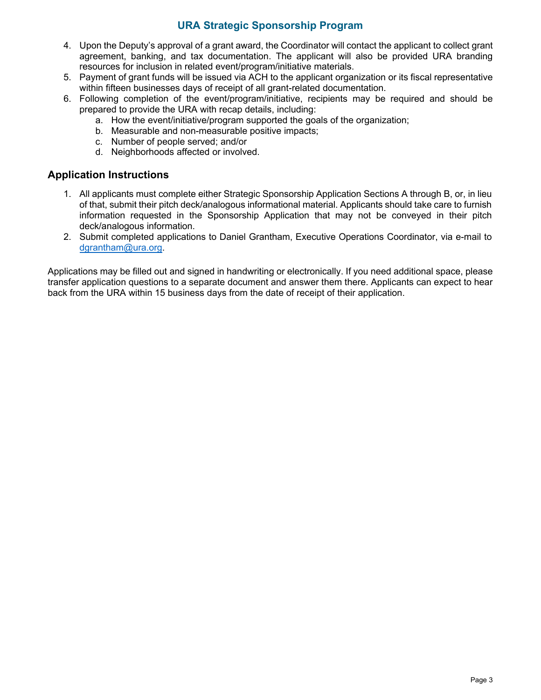- 4. Upon the Deputy's approval of a grant award, the Coordinator will contact the applicant to collect grant agreement, banking, and tax documentation. The applicant will also be provided URA branding resources for inclusion in related event/program/initiative materials.
- 5. Payment of grant funds will be issued via ACH to the applicant organization or its fiscal representative within fifteen businesses days of receipt of all grant-related documentation.
- 6. Following completion of the event/program/initiative, recipients may be required and should be prepared to provide the URA with recap details, including:
	- a. How the event/initiative/program supported the goals of the organization;
	- b. Measurable and non-measurable positive impacts;
	- c. Number of people served; and/or
	- d. Neighborhoods affected or involved.

#### **Application Instructions**

- 1. All applicants must complete either Strategic Sponsorship Application Sections A through B, or, in lieu of that, submit their pitch deck/analogous informational material. Applicants should take care to furnish information requested in the Sponsorship Application that may not be conveyed in their pitch deck/analogous information.
- 2. Submit completed applications to Daniel Grantham, Executive Operations Coordinator, via e-mail to dgrantham@ura.org.

Applications may be filled out and signed in handwriting or electronically. If you need additional space, please transfer application questions to a separate document and answer them there. Applicants can expect to hear back from the URA within 15 business days from the date of receipt of their application.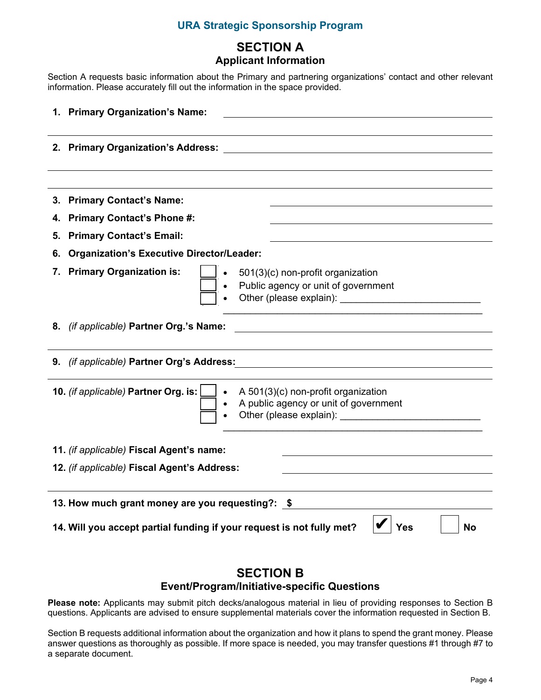# **SECTION A Applicant Information**

Section A requests basic information about the Primary and partnering organizations' contact and other relevant information. Please accurately fill out the information in the space provided.

|                                                                                                  | 1. Primary Organization's Name:                                                                                                                                                     |  |
|--------------------------------------------------------------------------------------------------|-------------------------------------------------------------------------------------------------------------------------------------------------------------------------------------|--|
|                                                                                                  | 2. Primary Organization's Address:                                                                                                                                                  |  |
|                                                                                                  |                                                                                                                                                                                     |  |
|                                                                                                  | 3. Primary Contact's Name:                                                                                                                                                          |  |
|                                                                                                  | 4. Primary Contact's Phone #:                                                                                                                                                       |  |
|                                                                                                  | 5. Primary Contact's Email:                                                                                                                                                         |  |
|                                                                                                  | 6. Organization's Executive Director/Leader:                                                                                                                                        |  |
|                                                                                                  | 7. Primary Organization is:<br>501(3)(c) non-profit organization<br>Public agency or unit of government<br>Other (please explain):                                                  |  |
|                                                                                                  | 8. (if applicable) Partner Org.'s Name:                                                                                                                                             |  |
|                                                                                                  | 9. (if applicable) Partner Org's Address:                                                                                                                                           |  |
|                                                                                                  | 10. (if applicable) Partner Org. is:<br>A 501(3)(c) non-profit organization<br>$\bullet$<br>A public agency or unit of government<br>Other (please explain): Other (please explain) |  |
|                                                                                                  | 11. (if applicable) Fiscal Agent's name:                                                                                                                                            |  |
| 12. (if applicable) Fiscal Agent's Address:                                                      |                                                                                                                                                                                     |  |
| 13. How much grant money are you requesting?: \$                                                 |                                                                                                                                                                                     |  |
| 14. Will you accept partial funding if your request is not fully met?<br><b>Yes</b><br><b>No</b> |                                                                                                                                                                                     |  |

### **SECTION B Event/Program/Initiative-specific Questions**

**Please note:** Applicants may submit pitch decks/analogous material in lieu of providing responses to Section B questions. Applicants are advised to ensure supplemental materials cover the information requested in Section B.

Section B requests additional information about the organization and how it plans to spend the grant money. Please answer questions as thoroughly as possible. If more space is needed, you may transfer questions #1 through #7 to a separate document.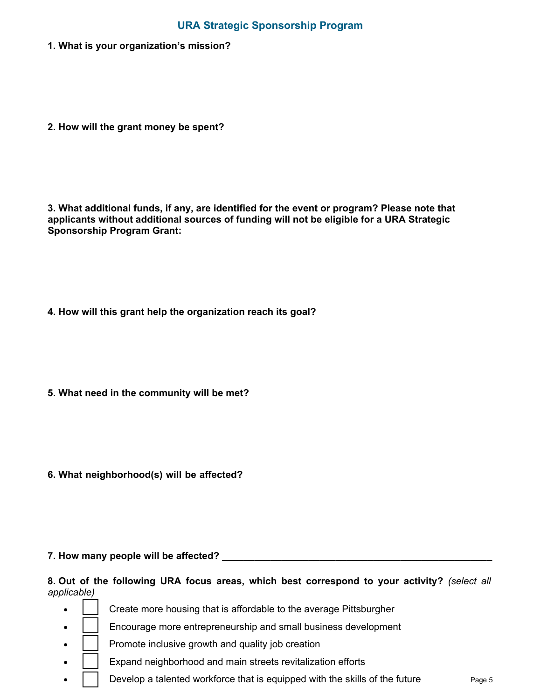1. What is your organization's mission?

2. How will the grant money be spent?

3. What additional funds, if any, are identified for the event or program? Please note that applicants without additional sources of funding will not be eligible for a URA Strategic **Sponsorship Program Grant:** 

- 4. How will this grant help the organization reach its goal?
- 5. What need in the community will be met?
- 6. What neighborhood(s) will be affected?

#### 

8. Out of the following URA focus areas, which best correspond to your activity? (select all applicable)

- Create more housing that is affordable to the average Pittsburgher
- Encourage more entrepreneurship and small business development
- Promote inclusive growth and quality job creation
- Expand neighborhood and main streets revitalization efforts
- Develop a talented workforce that is equipped with the skills of the future